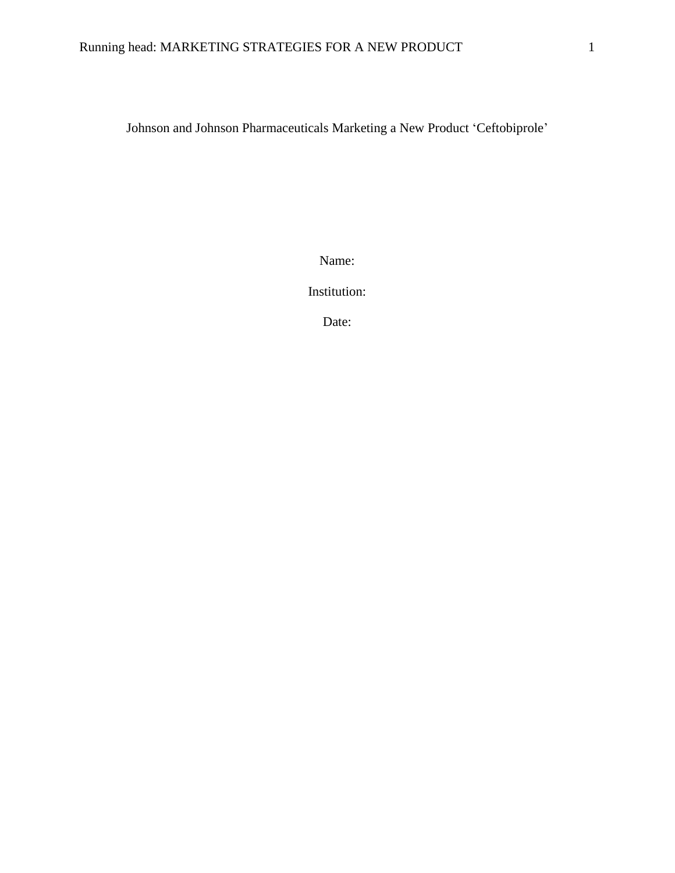Johnson and Johnson Pharmaceuticals Marketing a New Product 'Ceftobiprole'

Name:

Institution:

Date: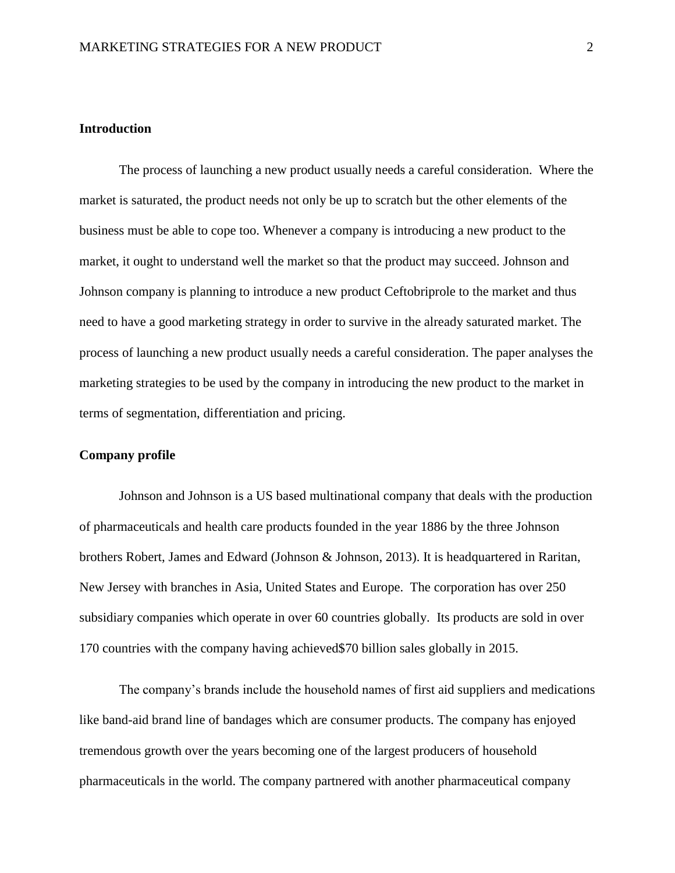#### **Introduction**

The process of launching a new product usually needs a careful consideration. Where the market is saturated, the product needs not only be up to scratch but the other elements of the business must be able to cope too. Whenever a company is introducing a new product to the market, it ought to understand well the market so that the product may succeed. Johnson and Johnson company is planning to introduce a new product Ceftobriprole to the market and thus need to have a good marketing strategy in order to survive in the already saturated market. The process of launching a new product usually needs a careful consideration. The paper analyses the marketing strategies to be used by the company in introducing the new product to the market in terms of segmentation, differentiation and pricing.

# **Company profile**

Johnson and Johnson is a US based multinational company that deals with the production of pharmaceuticals and health care products founded in the year 1886 by the three Johnson brothers Robert, James and Edward (Johnson & Johnson, 2013). It is headquartered in Raritan, New Jersey with branches in Asia, United States and Europe. The corporation has over 250 subsidiary companies which operate in over 60 countries globally. Its products are sold in over 170 countries with the company having achieved\$70 billion sales globally in 2015.

The company's brands include the household names of first aid suppliers and medications like band-aid brand line of bandages which are consumer products. The company has enjoyed tremendous growth over the years becoming one of the largest producers of household pharmaceuticals in the world. The company partnered with another pharmaceutical company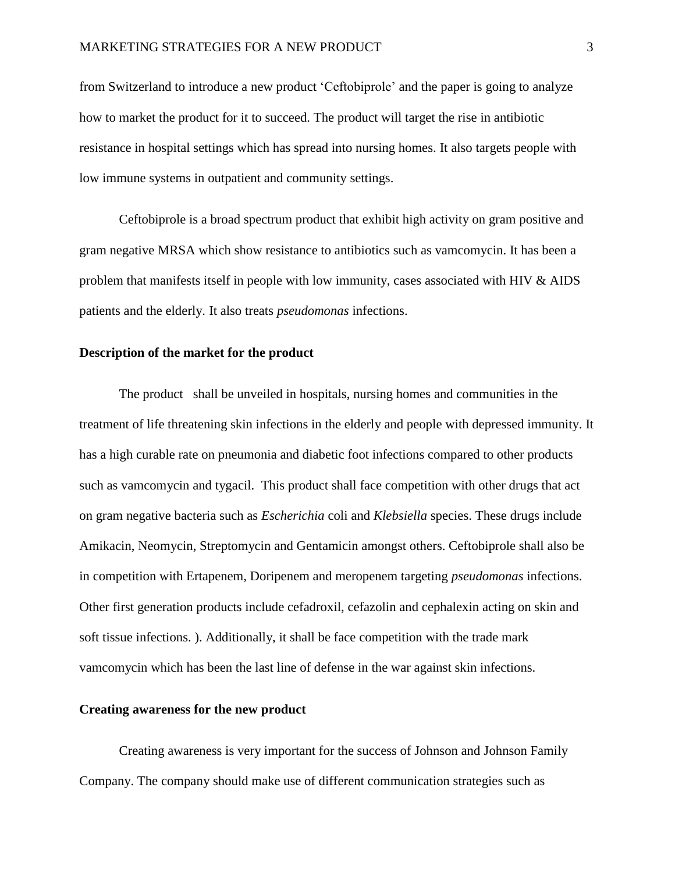from Switzerland to introduce a new product 'Ceftobiprole' and the paper is going to analyze how to market the product for it to succeed. The product will target the rise in antibiotic resistance in hospital settings which has spread into nursing homes. It also targets people with low immune systems in outpatient and community settings.

Ceftobiprole is a broad spectrum product that exhibit high activity on gram positive and gram negative MRSA which show resistance to antibiotics such as vamcomycin. It has been a problem that manifests itself in people with low immunity, cases associated with HIV & AIDS patients and the elderly. It also treats *pseudomonas* infections.

# **Description of the market for the product**

The product shall be unveiled in hospitals, nursing homes and communities in the treatment of life threatening skin infections in the elderly and people with depressed immunity. It has a high curable rate on pneumonia and diabetic foot infections compared to other products such as vamcomycin and tygacil. This product shall face competition with other drugs that act on gram negative bacteria such as *Escherichia* coli and *Klebsiella* species. These drugs include Amikacin, Neomycin, Streptomycin and Gentamicin amongst others. Ceftobiprole shall also be in competition with Ertapenem, Doripenem and meropenem targeting *pseudomonas* infections. Other first generation products include cefadroxil, cefazolin and cephalexin acting on skin and soft tissue infections. ). Additionally, it shall be face competition with the trade mark vamcomycin which has been the last line of defense in the war against skin infections.

#### **Creating awareness for the new product**

Creating awareness is very important for the success of Johnson and Johnson Family Company. The company should make use of different communication strategies such as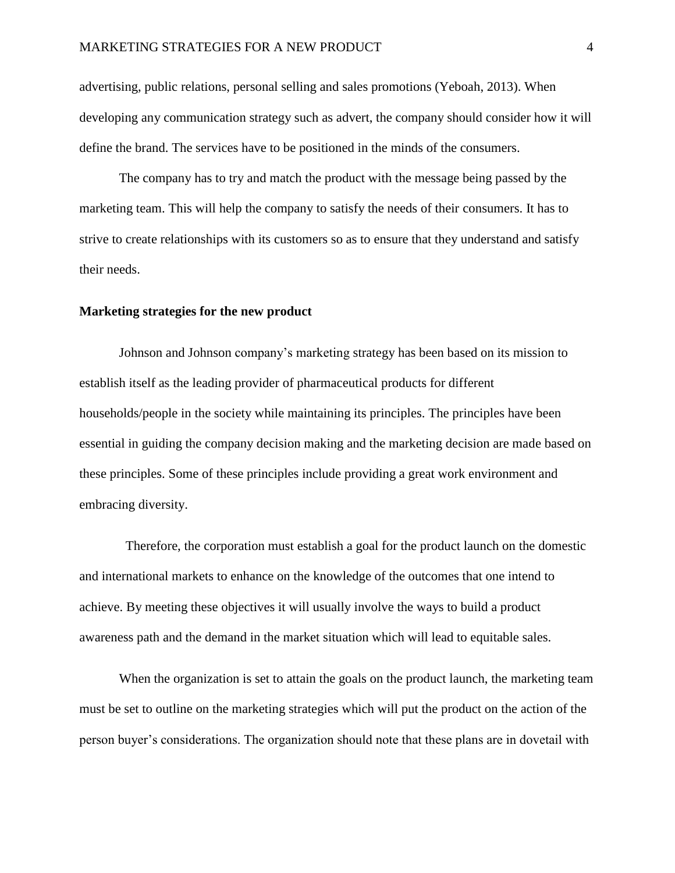advertising, public relations, personal selling and sales promotions (Yeboah, 2013). When developing any communication strategy such as advert, the company should consider how it will define the brand. The services have to be positioned in the minds of the consumers.

The company has to try and match the product with the message being passed by the marketing team. This will help the company to satisfy the needs of their consumers. It has to strive to create relationships with its customers so as to ensure that they understand and satisfy their needs.

#### **Marketing strategies for the new product**

Johnson and Johnson company's marketing strategy has been based on its mission to establish itself as the leading provider of pharmaceutical products for different households/people in the society while maintaining its principles. The principles have been essential in guiding the company decision making and the marketing decision are made based on these principles. Some of these principles include providing a great work environment and embracing diversity.

Therefore, the corporation must establish a goal for the product launch on the domestic and international markets to enhance on the knowledge of the outcomes that one intend to achieve. By meeting these objectives it will usually involve the ways to build a product awareness path and the demand in the market situation which will lead to equitable sales.

When the organization is set to attain the goals on the product launch, the marketing team must be set to outline on the marketing strategies which will put the product on the action of the person buyer's considerations. The organization should note that these plans are in dovetail with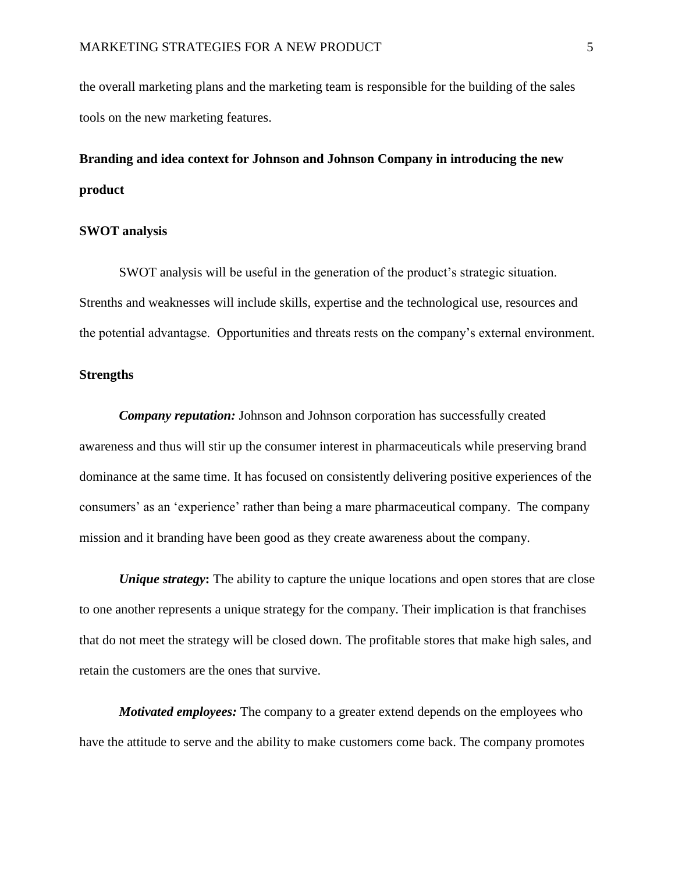the overall marketing plans and the marketing team is responsible for the building of the sales tools on the new marketing features.

# **Branding and idea context for Johnson and Johnson Company in introducing the new product**

#### **SWOT analysis**

SWOT analysis will be useful in the generation of the product's strategic situation. Strenths and weaknesses will include skills, expertise and the technological use, resources and the potential advantagse. Opportunities and threats rests on the company's external environment.

# **Strengths**

*Company reputation:* Johnson and Johnson corporation has successfully created awareness and thus will stir up the consumer interest in pharmaceuticals while preserving brand dominance at the same time. It has focused on consistently delivering positive experiences of the consumers' as an 'experience' rather than being a mare pharmaceutical company. The company mission and it branding have been good as they create awareness about the company.

*Unique strategy*: The ability to capture the unique locations and open stores that are close to one another represents a unique strategy for the company. Their implication is that franchises that do not meet the strategy will be closed down. The profitable stores that make high sales, and retain the customers are the ones that survive.

*Motivated employees:* The company to a greater extend depends on the employees who have the attitude to serve and the ability to make customers come back. The company promotes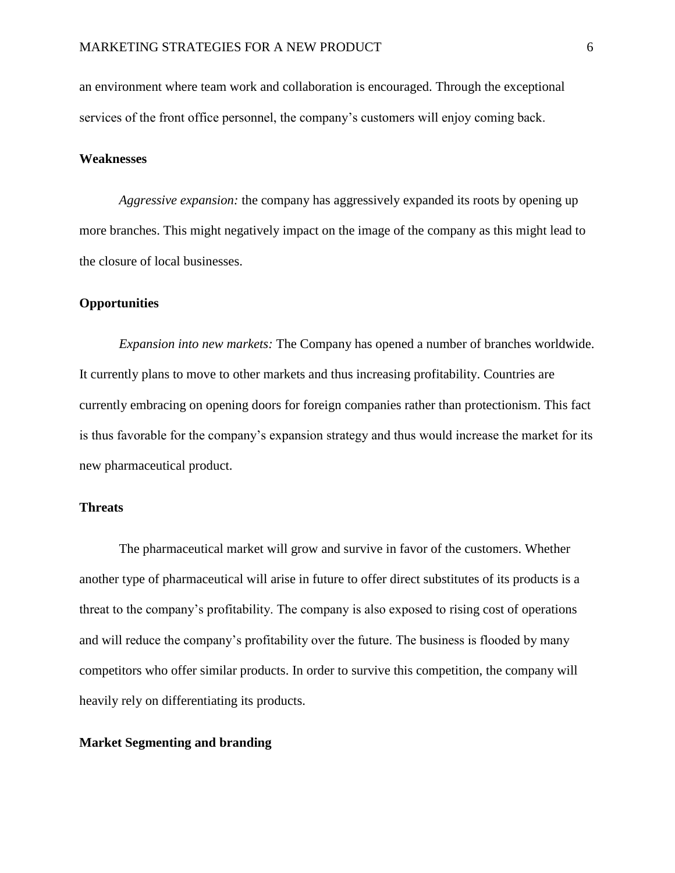an environment where team work and collaboration is encouraged. Through the exceptional services of the front office personnel, the company's customers will enjoy coming back.

# **Weaknesses**

*Aggressive expansion:* the company has aggressively expanded its roots by opening up more branches. This might negatively impact on the image of the company as this might lead to the closure of local businesses.

## **Opportunities**

*Expansion into new markets:* The Company has opened a number of branches worldwide. It currently plans to move to other markets and thus increasing profitability. Countries are currently embracing on opening doors for foreign companies rather than protectionism. This fact is thus favorable for the company's expansion strategy and thus would increase the market for its new pharmaceutical product.

## **Threats**

The pharmaceutical market will grow and survive in favor of the customers. Whether another type of pharmaceutical will arise in future to offer direct substitutes of its products is a threat to the company's profitability. The company is also exposed to rising cost of operations and will reduce the company's profitability over the future. The business is flooded by many competitors who offer similar products. In order to survive this competition, the company will heavily rely on differentiating its products.

#### **Market Segmenting and branding**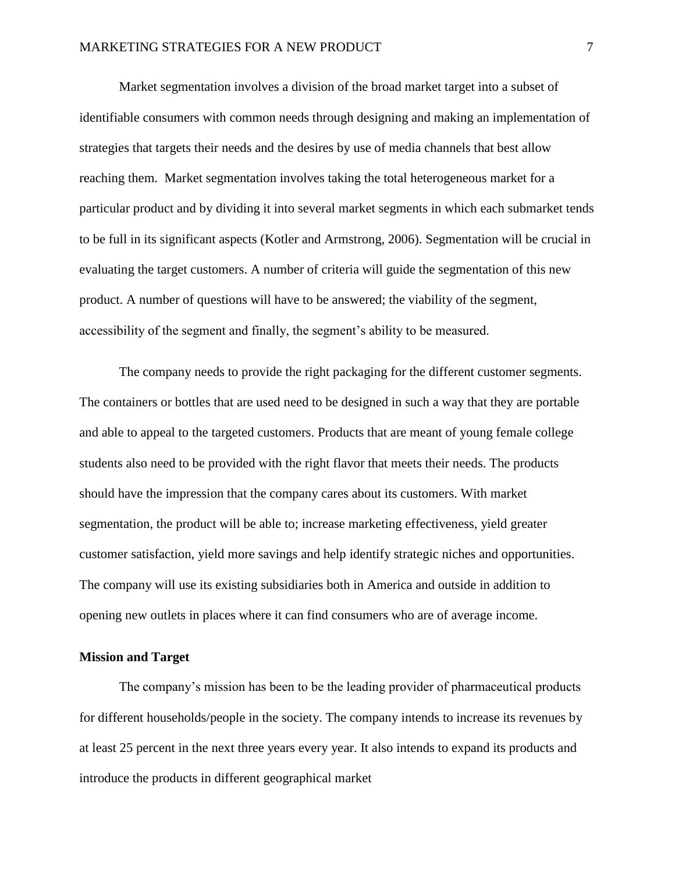Market segmentation involves a division of the broad market target into a subset of identifiable consumers with common needs through designing and making an implementation of strategies that targets their needs and the desires by use of media channels that best allow reaching them. Market segmentation involves taking the total heterogeneous market for a particular product and by dividing it into several market segments in which each submarket tends to be full in its significant aspects (Kotler and Armstrong, 2006). Segmentation will be crucial in evaluating the target customers. A number of criteria will guide the segmentation of this new product. A number of questions will have to be answered; the viability of the segment, accessibility of the segment and finally, the segment's ability to be measured.

The company needs to provide the right packaging for the different customer segments. The containers or bottles that are used need to be designed in such a way that they are portable and able to appeal to the targeted customers. Products that are meant of young female college students also need to be provided with the right flavor that meets their needs. The products should have the impression that the company cares about its customers. With market segmentation, the product will be able to; increase marketing effectiveness, yield greater customer satisfaction, yield more savings and help identify strategic niches and opportunities. The company will use its existing subsidiaries both in America and outside in addition to opening new outlets in places where it can find consumers who are of average income.

#### **Mission and Target**

The company's mission has been to be the leading provider of pharmaceutical products for different households/people in the society. The company intends to increase its revenues by at least 25 percent in the next three years every year. It also intends to expand its products and introduce the products in different geographical market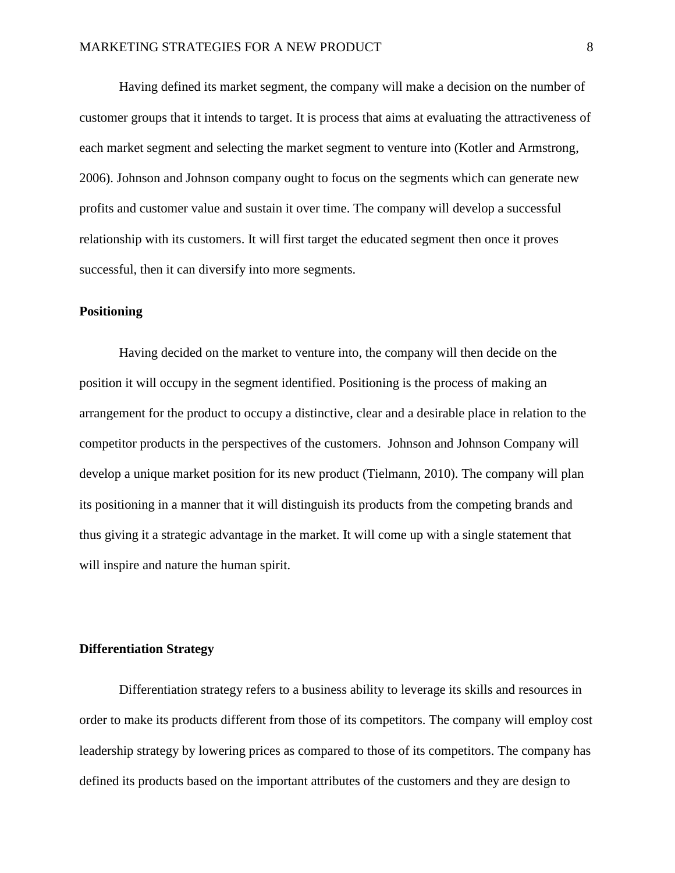Having defined its market segment, the company will make a decision on the number of customer groups that it intends to target. It is process that aims at evaluating the attractiveness of each market segment and selecting the market segment to venture into (Kotler and Armstrong, 2006). Johnson and Johnson company ought to focus on the segments which can generate new profits and customer value and sustain it over time. The company will develop a successful relationship with its customers. It will first target the educated segment then once it proves successful, then it can diversify into more segments.

# **Positioning**

Having decided on the market to venture into, the company will then decide on the position it will occupy in the segment identified. Positioning is the process of making an arrangement for the product to occupy a distinctive, clear and a desirable place in relation to the competitor products in the perspectives of the customers. Johnson and Johnson Company will develop a unique market position for its new product (Tielmann, 2010). The company will plan its positioning in a manner that it will distinguish its products from the competing brands and thus giving it a strategic advantage in the market. It will come up with a single statement that will inspire and nature the human spirit.

#### **Differentiation Strategy**

Differentiation strategy refers to a business ability to leverage its skills and resources in order to make its products different from those of its competitors. The company will employ cost leadership strategy by lowering prices as compared to those of its competitors. The company has defined its products based on the important attributes of the customers and they are design to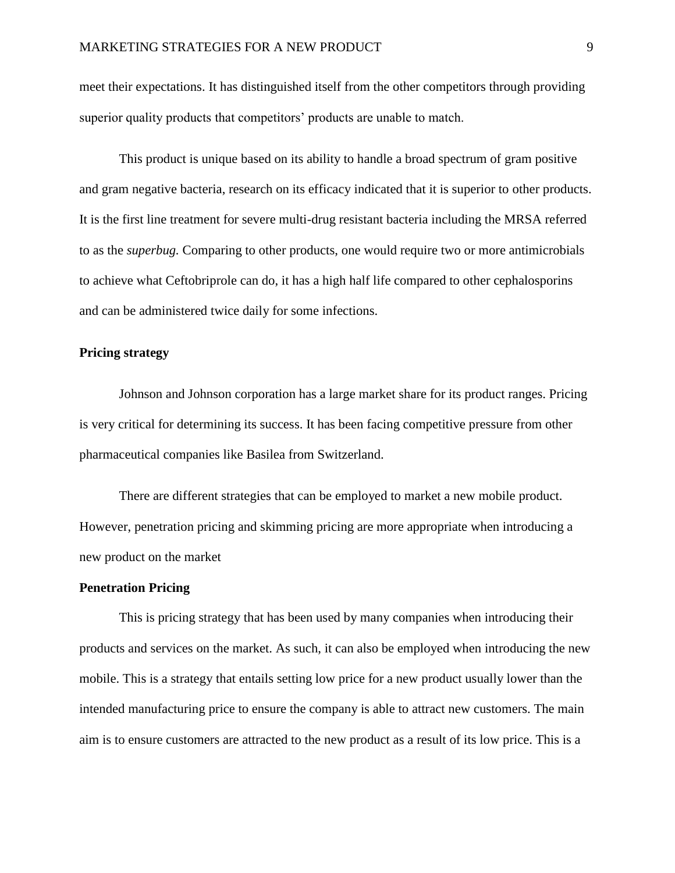meet their expectations. It has distinguished itself from the other competitors through providing superior quality products that competitors' products are unable to match.

This product is unique based on its ability to handle a broad spectrum of gram positive and gram negative bacteria, research on its efficacy indicated that it is superior to other products. It is the first line treatment for severe multi-drug resistant bacteria including the MRSA referred to as the *superbug.* Comparing to other products, one would require two or more antimicrobials to achieve what Ceftobriprole can do, it has a high half life compared to other cephalosporins and can be administered twice daily for some infections.

#### **Pricing strategy**

Johnson and Johnson corporation has a large market share for its product ranges. Pricing is very critical for determining its success. It has been facing competitive pressure from other pharmaceutical companies like Basilea from Switzerland.

There are different strategies that can be employed to market a new mobile product. However, penetration pricing and skimming pricing are more appropriate when introducing a new product on the market

## **Penetration Pricing**

This is pricing strategy that has been used by many companies when introducing their products and services on the market. As such, it can also be employed when introducing the new mobile. This is a strategy that entails setting low price for a new product usually lower than the intended manufacturing price to ensure the company is able to attract new customers. The main aim is to ensure customers are attracted to the new product as a result of its low price. This is a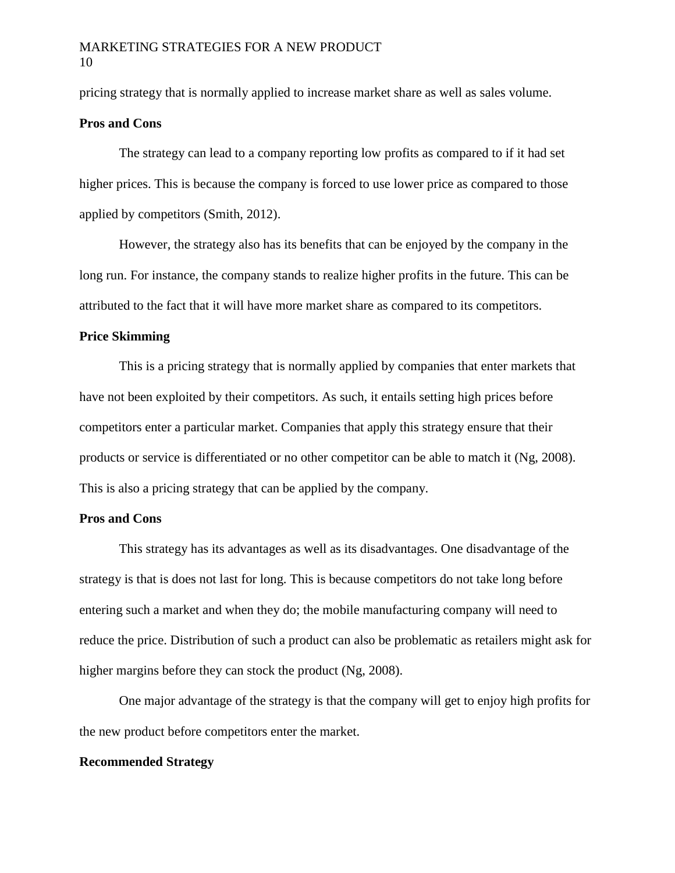pricing strategy that is normally applied to increase market share as well as sales volume.

#### **Pros and Cons**

The strategy can lead to a company reporting low profits as compared to if it had set higher prices. This is because the company is forced to use lower price as compared to those applied by competitors (Smith, 2012).

However, the strategy also has its benefits that can be enjoyed by the company in the long run. For instance, the company stands to realize higher profits in the future. This can be attributed to the fact that it will have more market share as compared to its competitors.

# **Price Skimming**

This is a pricing strategy that is normally applied by companies that enter markets that have not been exploited by their competitors. As such, it entails setting high prices before competitors enter a particular market. Companies that apply this strategy ensure that their products or service is differentiated or no other competitor can be able to match it (Ng, 2008). This is also a pricing strategy that can be applied by the company.

### **Pros and Cons**

This strategy has its advantages as well as its disadvantages. One disadvantage of the strategy is that is does not last for long. This is because competitors do not take long before entering such a market and when they do; the mobile manufacturing company will need to reduce the price. Distribution of such a product can also be problematic as retailers might ask for higher margins before they can stock the product (Ng, 2008).

One major advantage of the strategy is that the company will get to enjoy high profits for the new product before competitors enter the market.

#### **Recommended Strategy**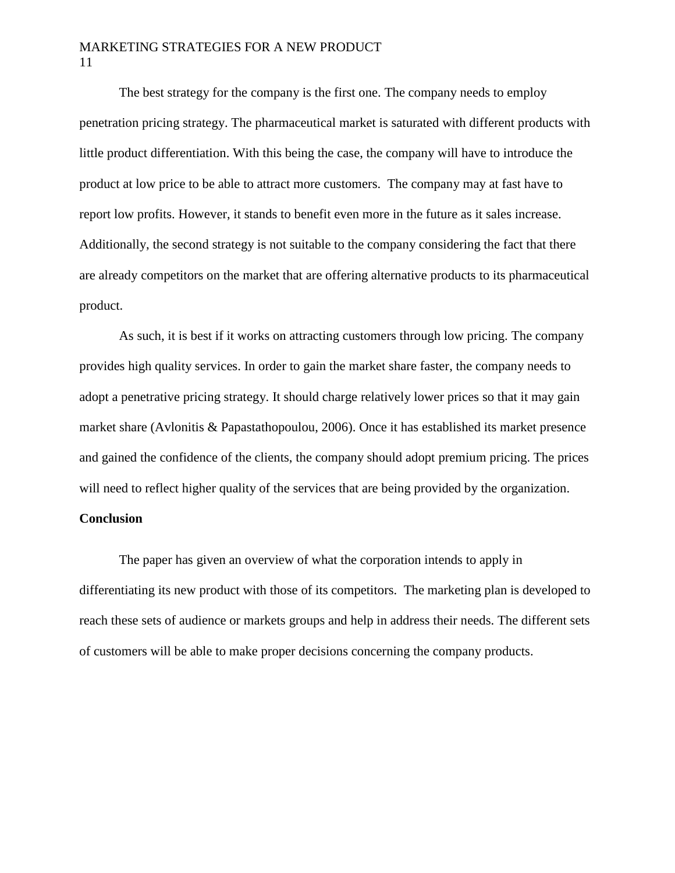# MARKETING STRATEGIES FOR A NEW PRODUCT 11

The best strategy for the company is the first one. The company needs to employ penetration pricing strategy. The pharmaceutical market is saturated with different products with little product differentiation. With this being the case, the company will have to introduce the product at low price to be able to attract more customers. The company may at fast have to report low profits. However, it stands to benefit even more in the future as it sales increase. Additionally, the second strategy is not suitable to the company considering the fact that there are already competitors on the market that are offering alternative products to its pharmaceutical product.

As such, it is best if it works on attracting customers through low pricing. The company provides high quality services. In order to gain the market share faster, the company needs to adopt a penetrative pricing strategy. It should charge relatively lower prices so that it may gain market share (Avlonitis & Papastathopoulou, 2006). Once it has established its market presence and gained the confidence of the clients, the company should adopt premium pricing. The prices will need to reflect higher quality of the services that are being provided by the organization. **Conclusion**

# The paper has given an overview of what the corporation intends to apply in differentiating its new product with those of its competitors. The marketing plan is developed to reach these sets of audience or markets groups and help in address their needs. The different sets of customers will be able to make proper decisions concerning the company products.